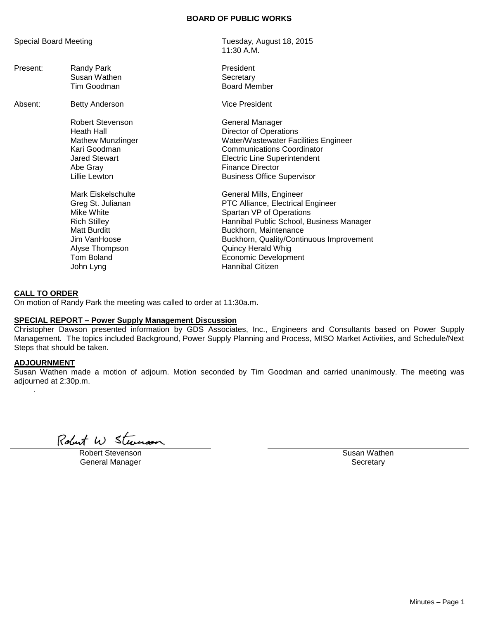# **BOARD OF PUBLIC WORKS**

| <b>Special Board Meeting</b> |                                                                                                                                                                  | Tuesday, August 18, 2015<br>11:30 A.M.                                                                                                                                                                                                                                             |
|------------------------------|------------------------------------------------------------------------------------------------------------------------------------------------------------------|------------------------------------------------------------------------------------------------------------------------------------------------------------------------------------------------------------------------------------------------------------------------------------|
| Present:                     | Randy Park<br>Susan Wathen<br>Tim Goodman                                                                                                                        | President<br>Secretary<br><b>Board Member</b>                                                                                                                                                                                                                                      |
| Absent:                      | <b>Betty Anderson</b>                                                                                                                                            | Vice President                                                                                                                                                                                                                                                                     |
|                              | <b>Robert Stevenson</b><br><b>Heath Hall</b><br><b>Mathew Munzlinger</b><br>Kari Goodman<br><b>Jared Stewart</b><br>Abe Gray<br>Lillie Lewton                    | General Manager<br><b>Director of Operations</b><br>Water/Wastewater Facilities Engineer<br><b>Communications Coordinator</b><br><b>Electric Line Superintendent</b><br><b>Finance Director</b><br><b>Business Office Supervisor</b>                                               |
|                              | Mark Eiskelschulte<br>Greg St. Julianan<br>Mike White<br><b>Rich Stilley</b><br><b>Matt Burditt</b><br>Jim VanHoose<br>Alyse Thompson<br>Tom Boland<br>John Lyng | General Mills, Engineer<br>PTC Alliance, Electrical Engineer<br>Spartan VP of Operations<br>Hannibal Public School, Business Manager<br>Buckhorn, Maintenance<br>Buckhorn, Quality/Continuous Improvement<br><b>Quincy Herald Whig</b><br>Economic Development<br>Hannibal Citizen |

# **CALL TO ORDER**

On motion of Randy Park the meeting was called to order at 11:30a.m.

# **SPECIAL REPORT – Power Supply Management Discussion**

Christopher Dawson presented information by GDS Associates, Inc., Engineers and Consultants based on Power Supply Management. The topics included Background, Power Supply Planning and Process, MISO Market Activities, and Schedule/Next Steps that should be taken.

# **ADJOURNMENT**

.

Susan Wathen made a motion of adjourn. Motion seconded by Tim Goodman and carried unanimously. The meeting was adjourned at 2:30p.m.

Robert W Stevenson

Robert Stevenson General Manager

Susan Wathen **Secretary**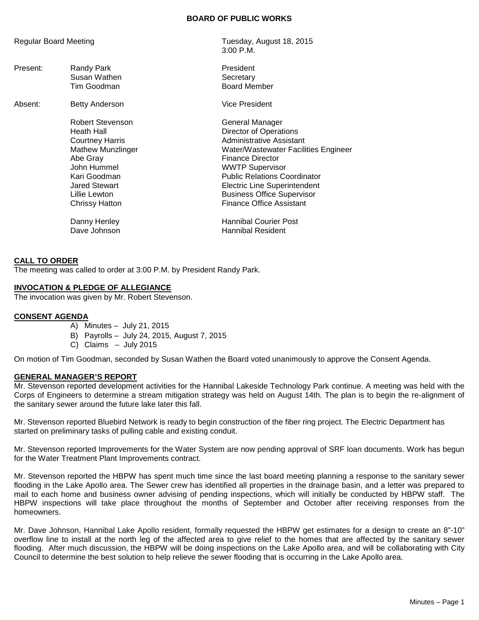#### **BOARD OF PUBLIC WORKS**

Present: Randy Park President<br>
Susan Wathen President Secretary Susan Wathen<br>Tim Goodman

> Robert Stevenson General Manager<br>Heath Hall General Manager Abe Gray<br>
> John Hummel<br>
> VWTP Supervise John Hummel WWTP Supervisor

Regular Board Meeting Tuesday, August 18, 2015 3:00 P.M.

Board Member

Absent: Betty Anderson **Vice President** 

Director of Operations Courtney Harris **Administrative Assistant** Mathew Munzlinger Water/Wastewater Facilities Engineer Kari Goodman **Public Relations Coordinator**<br>
Public Relations Coordinator<br>
Pectric Line Superintendent Electric Line Superintendent Lillie Lewton **Business Office Supervisor**<br>
Chrissy Hatton **Business Office Assistant Finance Office Assistant** 

Danny Henley **Hannibal Courier Post** Dave Johnson **Hannibal Resident** 

# **CALL TO ORDER**

The meeting was called to order at 3:00 P.M. by President Randy Park.

# **INVOCATION & PLEDGE OF ALLEGIANCE**

The invocation was given by Mr. Robert Stevenson.

#### **CONSENT AGENDA**

- A) Minutes July 21, 2015
- B) Payrolls July 24, 2015, August 7, 2015
- C) Claims July 2015

On motion of Tim Goodman, seconded by Susan Wathen the Board voted unanimously to approve the Consent Agenda.

#### **GENERAL MANAGER'S REPORT**

Mr. Stevenson reported development activities for the Hannibal Lakeside Technology Park continue. A meeting was held with the Corps of Engineers to determine a stream mitigation strategy was held on August 14th. The plan is to begin the re-alignment of the sanitary sewer around the future lake later this fall.

Mr. Stevenson reported Bluebird Network is ready to begin construction of the fiber ring project. The Electric Department has started on preliminary tasks of pulling cable and existing conduit.

Mr. Stevenson reported Improvements for the Water System are now pending approval of SRF loan documents. Work has begun for the Water Treatment Plant Improvements contract.

Mr. Stevenson reported the HBPW has spent much time since the last board meeting planning a response to the sanitary sewer flooding in the Lake Apollo area. The Sewer crew has identified all properties in the drainage basin, and a letter was prepared to mail to each home and business owner advising of pending inspections, which will initially be conducted by HBPW staff. The HBPW inspections will take place throughout the months of September and October after receiving responses from the homeowners.

Mr. Dave Johnson, Hannibal Lake Apollo resident, formally requested the HBPW get estimates for a design to create an 8"-10" overflow line to install at the north leg of the affected area to give relief to the homes that are affected by the sanitary sewer flooding. After much discussion, the HBPW will be doing inspections on the Lake Apollo area, and will be collaborating with City Council to determine the best solution to help relieve the sewer flooding that is occurring in the Lake Apollo area.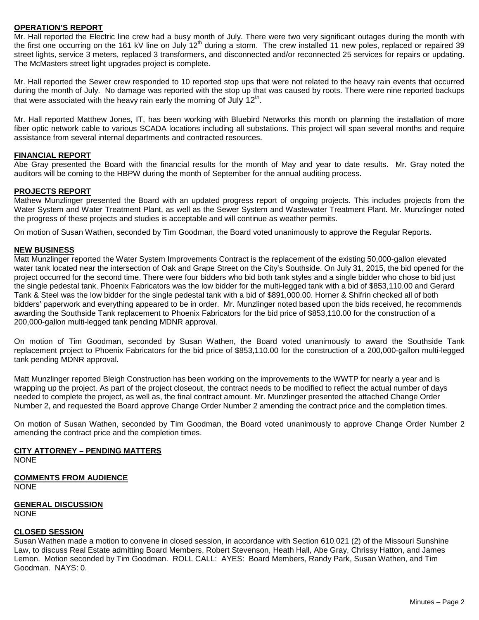# **OPERATION'S REPORT**

Mr. Hall reported the Electric line crew had a busy month of July. There were two very significant outages during the month with the first one occurring on the 161 kV line on July 12<sup>th</sup> during a storm. The crew installed 11 new poles, replaced or repaired 39 street lights, service 3 meters, replaced 3 transformers, and disconnected and/or reconnected 25 services for repairs or updating. The McMasters street light upgrades project is complete.

Mr. Hall reported the Sewer crew responded to 10 reported stop ups that were not related to the heavy rain events that occurred during the month of July. No damage was reported with the stop up that was caused by roots. There were nine reported backups that were associated with the heavy rain early the morning of July  $12<sup>th</sup>$ .

Mr. Hall reported Matthew Jones, IT, has been working with Bluebird Networks this month on planning the installation of more fiber optic network cable to various SCADA locations including all substations. This project will span several months and require assistance from several internal departments and contracted resources.

# **FINANCIAL REPORT**

Abe Gray presented the Board with the financial results for the month of May and year to date results. Mr. Gray noted the auditors will be coming to the HBPW during the month of September for the annual auditing process.

# **PROJECTS REPORT**

Mathew Munzlinger presented the Board with an updated progress report of ongoing projects. This includes projects from the Water System and Water Treatment Plant, as well as the Sewer System and Wastewater Treatment Plant. Mr. Munzlinger noted the progress of these projects and studies is acceptable and will continue as weather permits.

On motion of Susan Wathen, seconded by Tim Goodman, the Board voted unanimously to approve the Regular Reports.

# **NEW BUSINESS**

Matt Munzlinger reported the Water System Improvements Contract is the replacement of the existing 50,000-gallon elevated water tank located near the intersection of Oak and Grape Street on the City's Southside. On July 31, 2015, the bid opened for the project occurred for the second time. There were four bidders who bid both tank styles and a single bidder who chose to bid just the single pedestal tank. Phoenix Fabricators was the low bidder for the multi-legged tank with a bid of \$853,110.00 and Gerard Tank & Steel was the low bidder for the single pedestal tank with a bid of \$891,000.00. Horner & Shifrin checked all of both bidders' paperwork and everything appeared to be in order. Mr. Munzlinger noted based upon the bids received, he recommends awarding the Southside Tank replacement to Phoenix Fabricators for the bid price of \$853,110.00 for the construction of a 200,000-gallon multi-legged tank pending MDNR approval.

On motion of Tim Goodman, seconded by Susan Wathen, the Board voted unanimously to award the Southside Tank replacement project to Phoenix Fabricators for the bid price of \$853,110.00 for the construction of a 200,000-gallon multi-legged tank pending MDNR approval.

Matt Munzlinger reported Bleigh Construction has been working on the improvements to the WWTP for nearly a year and is wrapping up the project. As part of the project closeout, the contract needs to be modified to reflect the actual number of days needed to complete the project, as well as, the final contract amount. Mr. Munzlinger presented the attached Change Order Number 2, and requested the Board approve Change Order Number 2 amending the contract price and the completion times.

On motion of Susan Wathen, seconded by Tim Goodman, the Board voted unanimously to approve Change Order Number 2 amending the contract price and the completion times.

# **CITY ATTORNEY – PENDING MATTERS**

NONE

# **COMMENTS FROM AUDIENCE**

NONE

#### **GENERAL DISCUSSION** NONE

# **CLOSED SESSION**

Susan Wathen made a motion to convene in closed session, in accordance with Section 610.021 (2) of the Missouri Sunshine Law, to discuss Real Estate admitting Board Members, Robert Stevenson, Heath Hall, Abe Gray, Chrissy Hatton, and James Lemon. Motion seconded by Tim Goodman. ROLL CALL: AYES: Board Members, Randy Park, Susan Wathen, and Tim Goodman. NAYS: 0.